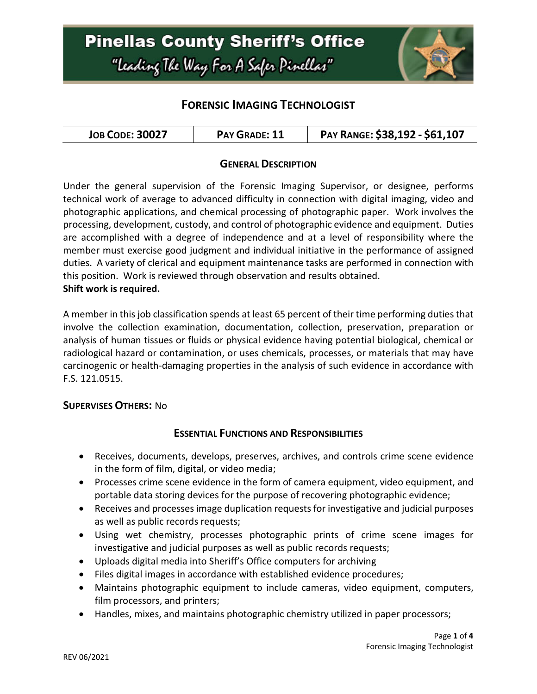

# **FORENSIC IMAGING TECHNOLOGIST**

| <b>JOB CODE: 30027</b> | PAY GRADE: 11 | PAY RANGE: \$38,192 - \$61,107 |
|------------------------|---------------|--------------------------------|
|------------------------|---------------|--------------------------------|

#### **GENERAL DESCRIPTION**

Under the general supervision of the Forensic Imaging Supervisor, or designee, performs technical work of average to advanced difficulty in connection with digital imaging, video and photographic applications, and chemical processing of photographic paper. Work involves the processing, development, custody, and control of photographic evidence and equipment. Duties are accomplished with a degree of independence and at a level of responsibility where the member must exercise good judgment and individual initiative in the performance of assigned duties. A variety of clerical and equipment maintenance tasks are performed in connection with this position. Work is reviewed through observation and results obtained. **Shift work is required.** 

A member in thisjob classification spends at least 65 percent of their time performing duties that involve the collection examination, documentation, collection, preservation, preparation or analysis of human tissues or fluids or physical evidence having potential biological, chemical or radiological hazard or contamination, or uses chemicals, processes, or materials that may have carcinogenic or health-damaging properties in the analysis of such evidence in accordance with F.S. 121.0515.

#### **SUPERVISES OTHERS:** No

#### **ESSENTIAL FUNCTIONS AND RESPONSIBILITIES**

- Receives, documents, develops, preserves, archives, and controls crime scene evidence in the form of film, digital, or video media;
- Processes crime scene evidence in the form of camera equipment, video equipment, and portable data storing devices for the purpose of recovering photographic evidence;
- Receives and processes image duplication requests for investigative and judicial purposes as well as public records requests;
- Using wet chemistry, processes photographic prints of crime scene images for investigative and judicial purposes as well as public records requests;
- Uploads digital media into Sheriff's Office computers for archiving
- Files digital images in accordance with established evidence procedures;
- Maintains photographic equipment to include cameras, video equipment, computers, film processors, and printers;
- Handles, mixes, and maintains photographic chemistry utilized in paper processors;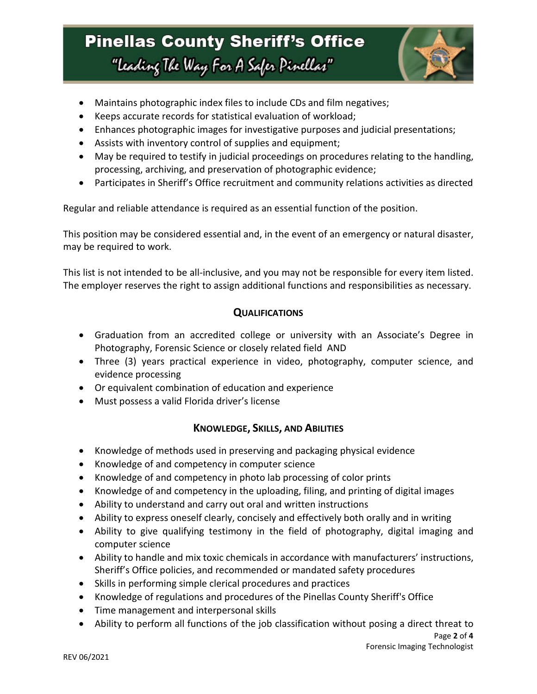# **Pinellas County Sheriff's Office** "Leading The Way For A Safer Pinellar"



- Maintains photographic index files to include CDs and film negatives;
- Keeps accurate records for statistical evaluation of workload;
- Enhances photographic images for investigative purposes and judicial presentations;
- Assists with inventory control of supplies and equipment;
- May be required to testify in judicial proceedings on procedures relating to the handling, processing, archiving, and preservation of photographic evidence;
- Participates in Sheriff's Office recruitment and community relations activities as directed

Regular and reliable attendance is required as an essential function of the position.

This position may be considered essential and, in the event of an emergency or natural disaster, may be required to work.

This list is not intended to be all-inclusive, and you may not be responsible for every item listed. The employer reserves the right to assign additional functions and responsibilities as necessary.

#### **QUALIFICATIONS**

- Graduation from an accredited college or university with an Associate's Degree in Photography, Forensic Science or closely related field AND
- Three (3) years practical experience in video, photography, computer science, and evidence processing
- Or equivalent combination of education and experience
- Must possess a valid Florida driver's license

## **KNOWLEDGE, SKILLS, AND ABILITIES**

- Knowledge of methods used in preserving and packaging physical evidence
- Knowledge of and competency in computer science
- Knowledge of and competency in photo lab processing of color prints
- Knowledge of and competency in the uploading, filing, and printing of digital images
- Ability to understand and carry out oral and written instructions
- Ability to express oneself clearly, concisely and effectively both orally and in writing
- Ability to give qualifying testimony in the field of photography, digital imaging and computer science
- Ability to handle and mix toxic chemicals in accordance with manufacturers' instructions, Sheriff's Office policies, and recommended or mandated safety procedures
- Skills in performing simple clerical procedures and practices
- Knowledge of regulations and procedures of the Pinellas County Sheriff's Office
- Time management and interpersonal skills
- Ability to perform all functions of the job classification without posing a direct threat to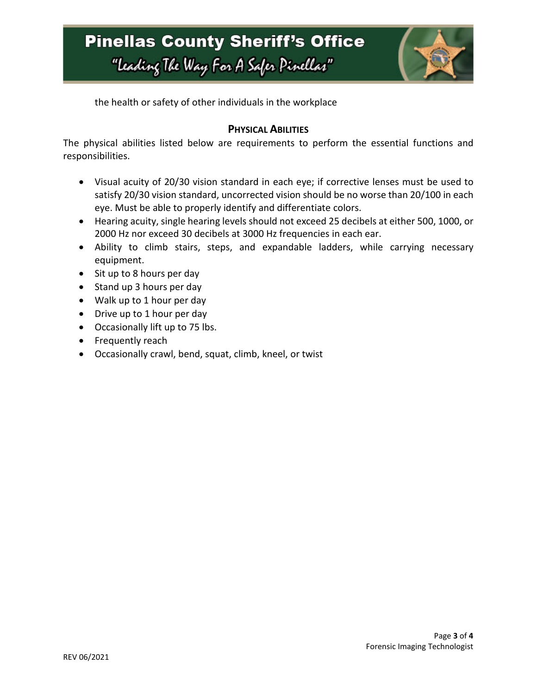# **Pinellas County Sheriff's Office** "Leading The Way For A Safer Pinellar"



the health or safety of other individuals in the workplace

## **PHYSICAL ABILITIES**

The physical abilities listed below are requirements to perform the essential functions and responsibilities.

- Visual acuity of 20/30 vision standard in each eye; if corrective lenses must be used to satisfy 20/30 vision standard, uncorrected vision should be no worse than 20/100 in each eye. Must be able to properly identify and differentiate colors.
- Hearing acuity, single hearing levels should not exceed 25 decibels at either 500, 1000, or 2000 Hz nor exceed 30 decibels at 3000 Hz frequencies in each ear.
- Ability to climb stairs, steps, and expandable ladders, while carrying necessary equipment.
- Sit up to 8 hours per day
- Stand up 3 hours per day
- Walk up to 1 hour per day
- Drive up to 1 hour per day
- Occasionally lift up to 75 lbs.
- Frequently reach
- Occasionally crawl, bend, squat, climb, kneel, or twist